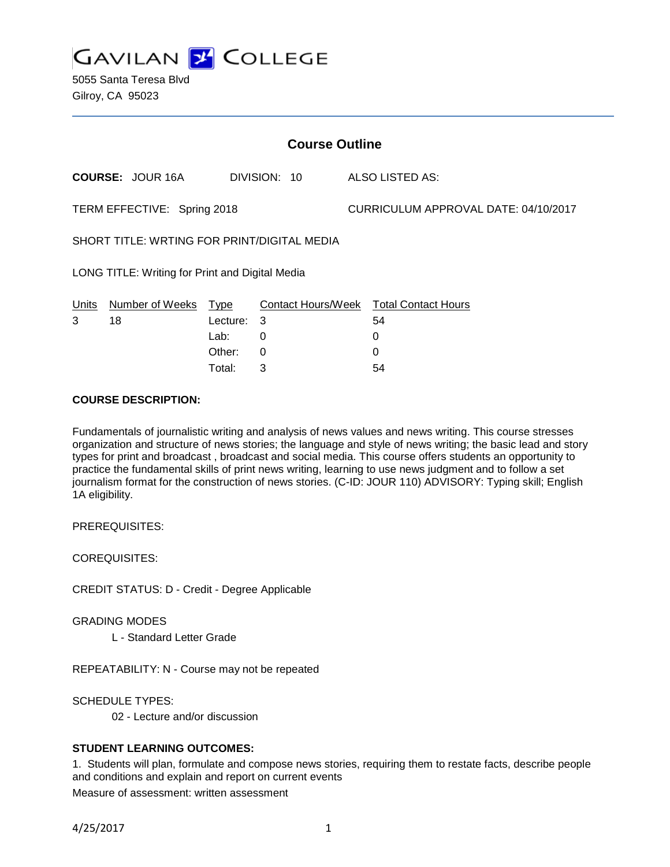**GAVILAN 2 COLLEGE** 

5055 Santa Teresa Blvd Gilroy, CA 95023

| <b>Course Outline</b>                           |                         |          |              |  |                                      |                                        |
|-------------------------------------------------|-------------------------|----------|--------------|--|--------------------------------------|----------------------------------------|
|                                                 | <b>COURSE: JOUR 16A</b> |          | DIVISION: 10 |  |                                      | ALSO LISTED AS:                        |
| TERM EFFECTIVE: Spring 2018                     |                         |          |              |  | CURRICULUM APPROVAL DATE: 04/10/2017 |                                        |
| SHORT TITLE: WRTING FOR PRINT/DIGITAL MEDIA     |                         |          |              |  |                                      |                                        |
| LONG TITLE: Writing for Print and Digital Media |                         |          |              |  |                                      |                                        |
| Units                                           | Number of Weeks         | Type     |              |  |                                      | Contact Hours/Week Total Contact Hours |
| 3                                               | 18                      | Lecture: | 3            |  |                                      | 54                                     |
|                                                 |                         | Lab:     | 0            |  |                                      | 0                                      |
|                                                 |                         | Other:   | 0            |  |                                      | 0                                      |

Total: 3 54

## **COURSE DESCRIPTION:**

Fundamentals of journalistic writing and analysis of news values and news writing. This course stresses organization and structure of news stories; the language and style of news writing; the basic lead and story types for print and broadcast , broadcast and social media. This course offers students an opportunity to practice the fundamental skills of print news writing, learning to use news judgment and to follow a set journalism format for the construction of news stories. (C-ID: JOUR 110) ADVISORY: Typing skill; English 1A eligibility.

PREREQUISITES:

COREQUISITES:

CREDIT STATUS: D - Credit - Degree Applicable

GRADING MODES

L - Standard Letter Grade

REPEATABILITY: N - Course may not be repeated

SCHEDULE TYPES:

02 - Lecture and/or discussion

#### **STUDENT LEARNING OUTCOMES:**

1. Students will plan, formulate and compose news stories, requiring them to restate facts, describe people and conditions and explain and report on current events

Measure of assessment: written assessment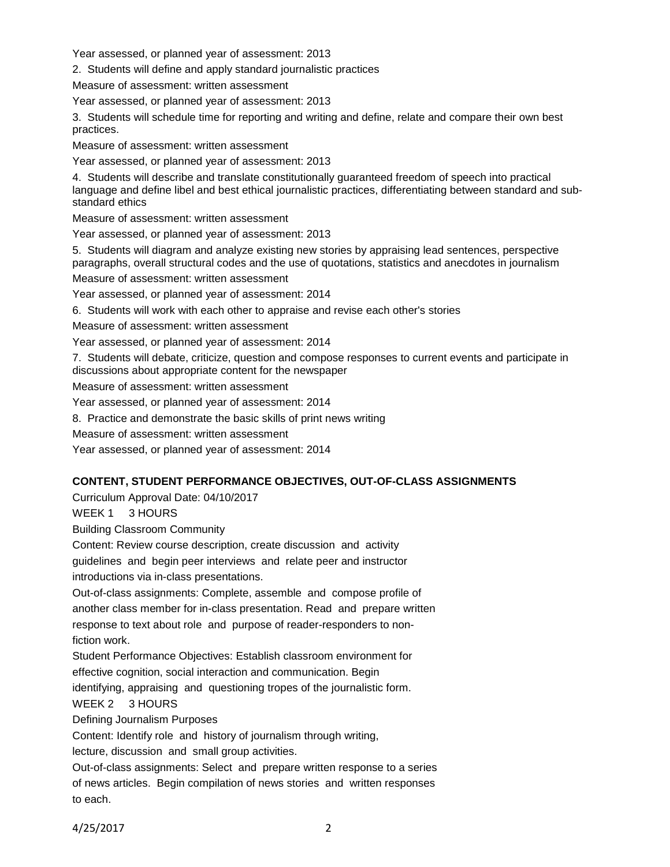Year assessed, or planned year of assessment: 2013

2. Students will define and apply standard journalistic practices

Measure of assessment: written assessment

Year assessed, or planned year of assessment: 2013

3. Students will schedule time for reporting and writing and define, relate and compare their own best practices.

Measure of assessment: written assessment

Year assessed, or planned year of assessment: 2013

4. Students will describe and translate constitutionally guaranteed freedom of speech into practical language and define libel and best ethical journalistic practices, differentiating between standard and substandard ethics

Measure of assessment: written assessment

Year assessed, or planned year of assessment: 2013

5. Students will diagram and analyze existing new stories by appraising lead sentences, perspective paragraphs, overall structural codes and the use of quotations, statistics and anecdotes in journalism

Measure of assessment: written assessment

Year assessed, or planned year of assessment: 2014

6. Students will work with each other to appraise and revise each other's stories

Measure of assessment: written assessment

Year assessed, or planned year of assessment: 2014

7. Students will debate, criticize, question and compose responses to current events and participate in discussions about appropriate content for the newspaper

Measure of assessment: written assessment

Year assessed, or planned year of assessment: 2014

8. Practice and demonstrate the basic skills of print news writing

Measure of assessment: written assessment

Year assessed, or planned year of assessment: 2014

#### **CONTENT, STUDENT PERFORMANCE OBJECTIVES, OUT-OF-CLASS ASSIGNMENTS**

Curriculum Approval Date: 04/10/2017

WEEK 1 3 HOURS

Building Classroom Community

Content: Review course description, create discussion and activity

guidelines and begin peer interviews and relate peer and instructor introductions via in-class presentations.

Out-of-class assignments: Complete, assemble and compose profile of another class member for in-class presentation. Read and prepare written response to text about role and purpose of reader-responders to nonfiction work.

Student Performance Objectives: Establish classroom environment for effective cognition, social interaction and communication. Begin

identifying, appraising and questioning tropes of the journalistic form.

WEEK 2 3 HOURS

Defining Journalism Purposes

Content: Identify role and history of journalism through writing,

lecture, discussion and small group activities.

Out-of-class assignments: Select and prepare written response to a series of news articles. Begin compilation of news stories and written responses to each.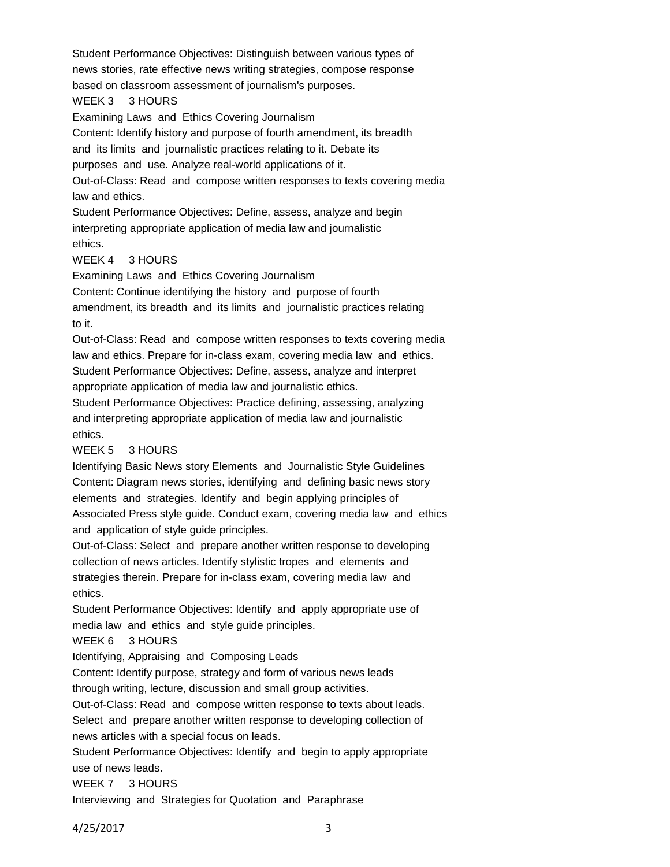Student Performance Objectives: Distinguish between various types of news stories, rate effective news writing strategies, compose response based on classroom assessment of journalism's purposes.

#### WEEK 3 3 HOURS

Examining Laws and Ethics Covering Journalism

Content: Identify history and purpose of fourth amendment, its breadth

and its limits and journalistic practices relating to it. Debate its

purposes and use. Analyze real-world applications of it.

Out-of-Class: Read and compose written responses to texts covering media law and ethics.

Student Performance Objectives: Define, assess, analyze and begin interpreting appropriate application of media law and journalistic ethics.

# WEEK 4 3 HOURS

Examining Laws and Ethics Covering Journalism

Content: Continue identifying the history and purpose of fourth amendment, its breadth and its limits and journalistic practices relating to it.

Out-of-Class: Read and compose written responses to texts covering media law and ethics. Prepare for in-class exam, covering media law and ethics. Student Performance Objectives: Define, assess, analyze and interpret appropriate application of media law and journalistic ethics.

Student Performance Objectives: Practice defining, assessing, analyzing and interpreting appropriate application of media law and journalistic ethics.

# WEEK 5 3 HOURS

Identifying Basic News story Elements and Journalistic Style Guidelines Content: Diagram news stories, identifying and defining basic news story elements and strategies. Identify and begin applying principles of Associated Press style guide. Conduct exam, covering media law and ethics and application of style guide principles.

Out-of-Class: Select and prepare another written response to developing collection of news articles. Identify stylistic tropes and elements and strategies therein. Prepare for in-class exam, covering media law and ethics.

Student Performance Objectives: Identify and apply appropriate use of media law and ethics and style guide principles.

WEEK 6 3 HOURS

Identifying, Appraising and Composing Leads

Content: Identify purpose, strategy and form of various news leads through writing, lecture, discussion and small group activities.

Out-of-Class: Read and compose written response to texts about leads. Select and prepare another written response to developing collection of news articles with a special focus on leads.

Student Performance Objectives: Identify and begin to apply appropriate use of news leads.

WEEK 7 3 HOURS

Interviewing and Strategies for Quotation and Paraphrase

4/25/2017 3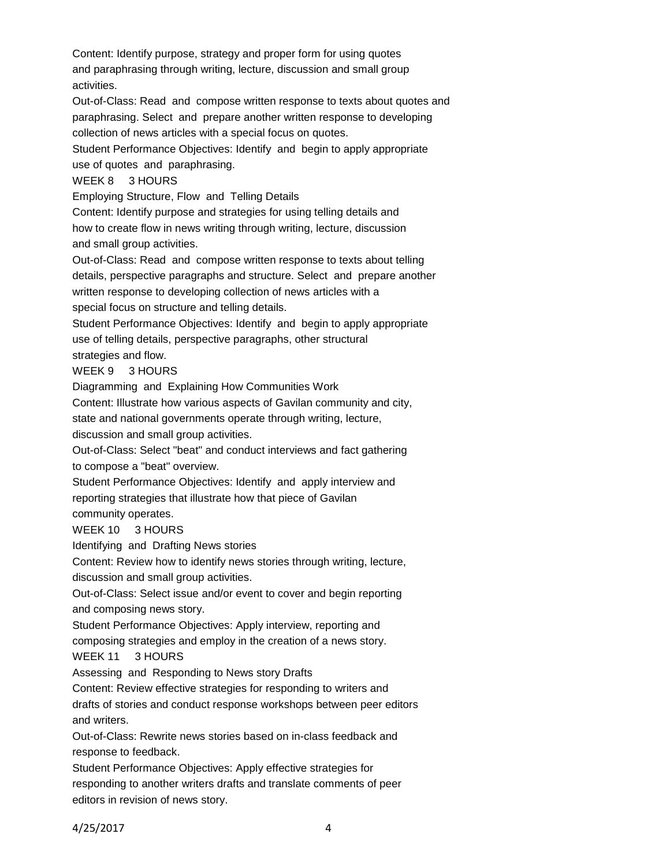Content: Identify purpose, strategy and proper form for using quotes and paraphrasing through writing, lecture, discussion and small group activities.

Out-of-Class: Read and compose written response to texts about quotes and paraphrasing. Select and prepare another written response to developing collection of news articles with a special focus on quotes.

Student Performance Objectives: Identify and begin to apply appropriate use of quotes and paraphrasing.

# WEEK 8 3 HOURS

Employing Structure, Flow and Telling Details

Content: Identify purpose and strategies for using telling details and how to create flow in news writing through writing, lecture, discussion and small group activities.

Out-of-Class: Read and compose written response to texts about telling details, perspective paragraphs and structure. Select and prepare another written response to developing collection of news articles with a special focus on structure and telling details.

Student Performance Objectives: Identify and begin to apply appropriate use of telling details, perspective paragraphs, other structural strategies and flow.

# WEEK 9 3 HOURS

Diagramming and Explaining How Communities Work

Content: Illustrate how various aspects of Gavilan community and city,

state and national governments operate through writing, lecture,

discussion and small group activities.

Out-of-Class: Select "beat" and conduct interviews and fact gathering to compose a "beat" overview.

Student Performance Objectives: Identify and apply interview and reporting strategies that illustrate how that piece of Gavilan

community operates.

WEEK 10 3 HOURS

Identifying and Drafting News stories

Content: Review how to identify news stories through writing, lecture, discussion and small group activities.

Out-of-Class: Select issue and/or event to cover and begin reporting and composing news story.

Student Performance Objectives: Apply interview, reporting and

composing strategies and employ in the creation of a news story.

WEEK 11 3 HOURS

Assessing and Responding to News story Drafts

Content: Review effective strategies for responding to writers and

drafts of stories and conduct response workshops between peer editors and writers.

Out-of-Class: Rewrite news stories based on in-class feedback and response to feedback.

Student Performance Objectives: Apply effective strategies for responding to another writers drafts and translate comments of peer editors in revision of news story.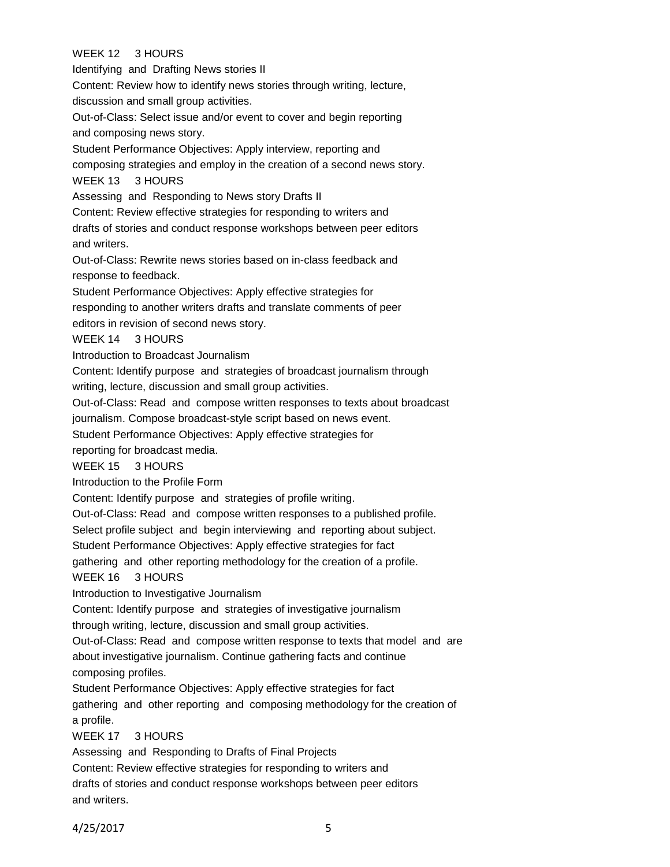# WEEK 12 3 HOURS

Identifying and Drafting News stories II Content: Review how to identify news stories through writing, lecture, discussion and small group activities. Out-of-Class: Select issue and/or event to cover and begin reporting and composing news story. Student Performance Objectives: Apply interview, reporting and composing strategies and employ in the creation of a second news story. WEEK 13 3 HOURS Assessing and Responding to News story Drafts II Content: Review effective strategies for responding to writers and drafts of stories and conduct response workshops between peer editors and writers. Out-of-Class: Rewrite news stories based on in-class feedback and response to feedback. Student Performance Objectives: Apply effective strategies for responding to another writers drafts and translate comments of peer editors in revision of second news story. WEEK 14 3 HOURS Introduction to Broadcast Journalism Content: Identify purpose and strategies of broadcast journalism through writing, lecture, discussion and small group activities. Out-of-Class: Read and compose written responses to texts about broadcast journalism. Compose broadcast-style script based on news event. Student Performance Objectives: Apply effective strategies for reporting for broadcast media. WEEK 15 3 HOURS Introduction to the Profile Form Content: Identify purpose and strategies of profile writing. Out-of-Class: Read and compose written responses to a published profile. Select profile subject and begin interviewing and reporting about subject. Student Performance Objectives: Apply effective strategies for fact gathering and other reporting methodology for the creation of a profile. WEEK 16 3 HOURS Introduction to Investigative Journalism Content: Identify purpose and strategies of investigative journalism through writing, lecture, discussion and small group activities. Out-of-Class: Read and compose written response to texts that model and are about investigative journalism. Continue gathering facts and continue composing profiles. Student Performance Objectives: Apply effective strategies for fact gathering and other reporting and composing methodology for the creation of a profile. WEEK 17 3 HOURS Assessing and Responding to Drafts of Final Projects Content: Review effective strategies for responding to writers and drafts of stories and conduct response workshops between peer editors and writers.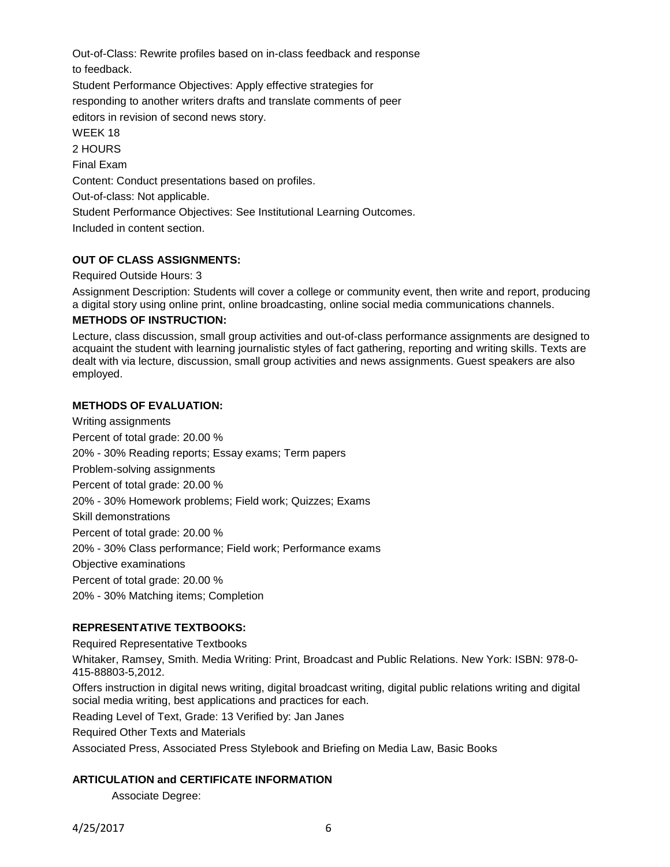Out-of-Class: Rewrite profiles based on in-class feedback and response to feedback.

Student Performance Objectives: Apply effective strategies for

responding to another writers drafts and translate comments of peer

editors in revision of second news story.

WEEK 18

2 HOURS Final Exam Content: Conduct presentations based on profiles. Out-of-class: Not applicable. Student Performance Objectives: See Institutional Learning Outcomes. Included in content section.

# **OUT OF CLASS ASSIGNMENTS:**

#### Required Outside Hours: 3

Assignment Description: Students will cover a college or community event, then write and report, producing a digital story using online print, online broadcasting, online social media communications channels.

# **METHODS OF INSTRUCTION:**

Lecture, class discussion, small group activities and out-of-class performance assignments are designed to acquaint the student with learning journalistic styles of fact gathering, reporting and writing skills. Texts are dealt with via lecture, discussion, small group activities and news assignments. Guest speakers are also employed.

## **METHODS OF EVALUATION:**

Writing assignments Percent of total grade: 20.00 % 20% - 30% Reading reports; Essay exams; Term papers Problem-solving assignments Percent of total grade: 20.00 % 20% - 30% Homework problems; Field work; Quizzes; Exams Skill demonstrations Percent of total grade: 20.00 % 20% - 30% Class performance; Field work; Performance exams Objective examinations Percent of total grade: 20.00 % 20% - 30% Matching items; Completion

#### **REPRESENTATIVE TEXTBOOKS:**

Required Representative Textbooks

Whitaker, Ramsey, Smith. Media Writing: Print, Broadcast and Public Relations. New York: ISBN: 978-0- 415-88803-5,2012.

Offers instruction in digital news writing, digital broadcast writing, digital public relations writing and digital social media writing, best applications and practices for each.

Reading Level of Text, Grade: 13 Verified by: Jan Janes

Required Other Texts and Materials

Associated Press, Associated Press Stylebook and Briefing on Media Law, Basic Books

#### **ARTICULATION and CERTIFICATE INFORMATION**

Associate Degree: